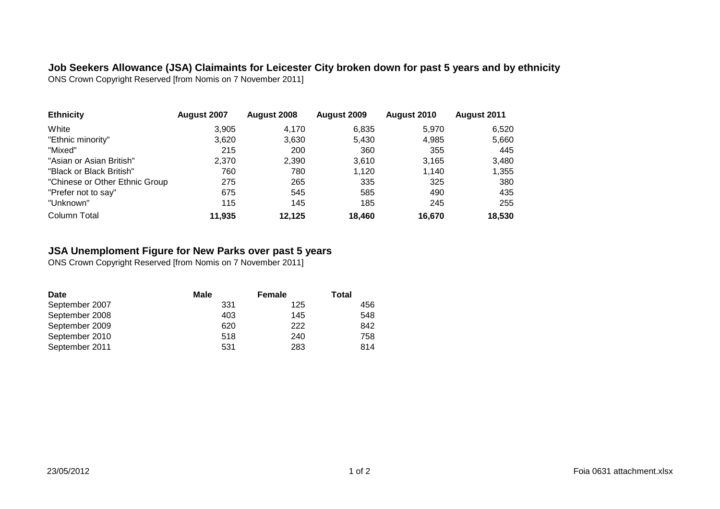**Job Seekers Allowance (JSA) Claimaints for Leicester City broken down for past 5 years and by ethnicity** ONS Crown Copyright Reserved [from Nomis on 7 November 2011]

| <b>Ethnicity</b>               | August 2007 | August 2008 | August 2009 | August 2010 | August 2011 |
|--------------------------------|-------------|-------------|-------------|-------------|-------------|
| White                          | 3,905       | 4.170       | 6,835       | 5.970       | 6,520       |
| "Ethnic minority"              | 3,620       | 3,630       | 5.430       | 4,985       | 5,660       |
| "Mixed"                        | 215         | 200         | 360         | 355         | 445         |
| "Asian or Asian British"       | 2.370       | 2.390       | 3.610       | 3.165       | 3,480       |
| "Black or Black British"       | 760         | 780         | 1.120       | 1.140       | 1,355       |
| "Chinese or Other Ethnic Group | 275         | 265         | 335         | 325         | 380         |
| "Prefer not to say"            | 675         | 545         | 585         | 490         | 435         |
| "Unknown"                      | 115         | 145         | 185         | 245         | 255         |
| Column Total                   | 11.935      | 12.125      | 18.460      | 16.670      | 18,530      |

## **JSA Unemploment Figure for New Parks over past 5 years**

ONS Crown Copyright Reserved [from Nomis on 7 November 2011]

| <b>Date</b>    | Male | Female | Total |
|----------------|------|--------|-------|
| September 2007 | 331  | 125    | 456   |
| September 2008 | 403  | 145    | 548   |
| September 2009 | 620  | 222    | 842   |
| September 2010 | 518  | 240    | 758   |
| September 2011 | 531  | 283    | 814   |